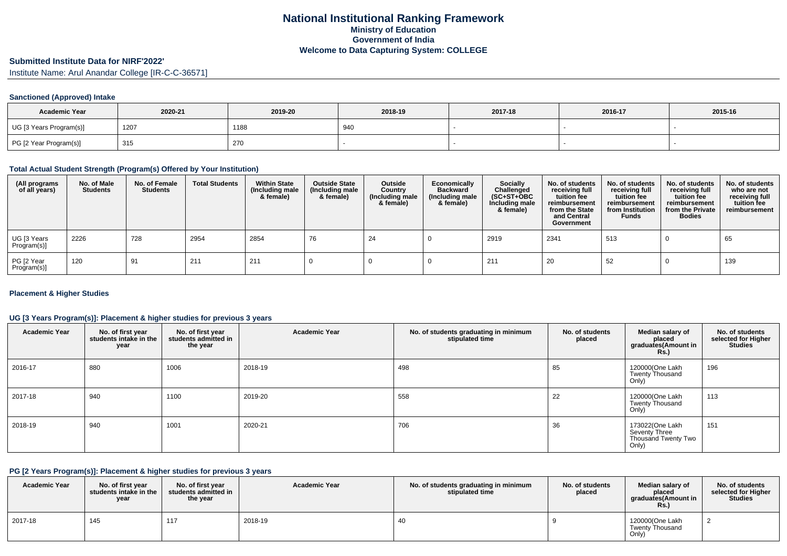# **Submitted Institute Data for NIRF'2022'**

Institute Name: Arul Anandar College [IR-C-C-36571]

### **Sanctioned (Approved) Intake**

| <b>Academic Year</b>    | 2020-21 | 2019-20 | 2018-19 | 2017-18 | 2016-17 | 2015-16 |
|-------------------------|---------|---------|---------|---------|---------|---------|
| UG [3 Years Program(s)] | 1207    | 1188    | 940     |         |         |         |
| PG [2 Year Program(s)]  | 315     | 270     |         |         |         |         |

#### **Total Actual Student Strength (Program(s) Offered by Your Institution)**

| (All programs<br>of all years) | No. of Male<br><b>Students</b> | No. of Female<br><b>Students</b> | <b>Total Students</b> | <b>Within State</b><br>(Including male<br>& female) | <b>Outside State</b><br>(Including male<br>& female) | Outside<br>Country<br>(Including male<br>& female) | Economically<br><b>Backward</b><br>(Including male<br>& female) | <b>Socially</b><br>Challenged<br>$(SC+ST+OBC)$<br>Including male<br>& female) | No. of students<br>receiving full<br>tuition fee<br>reimbursement<br>from the State<br>and Central<br>Government | No. of students<br>receiving full<br>tuition fee<br>reimbursement<br>from Institution<br><b>Funds</b> | No. of students<br>receiving full<br>tuition fee<br>reimbursement<br>from the Private<br><b>Bodies</b> | No. of students<br>who are not<br>receiving full<br>tuition fee<br>reimbursement |
|--------------------------------|--------------------------------|----------------------------------|-----------------------|-----------------------------------------------------|------------------------------------------------------|----------------------------------------------------|-----------------------------------------------------------------|-------------------------------------------------------------------------------|------------------------------------------------------------------------------------------------------------------|-------------------------------------------------------------------------------------------------------|--------------------------------------------------------------------------------------------------------|----------------------------------------------------------------------------------|
| UG [3 Years<br>Program(s)]     | 2226                           | 728                              | 2954                  | 2854                                                | 76                                                   | 24                                                 |                                                                 | 2919                                                                          | 2341                                                                                                             | 513                                                                                                   |                                                                                                        | 65                                                                               |
| PG [2 Year<br>Program(s)]      | 120                            | 91                               | 211                   | 211                                                 |                                                      |                                                    |                                                                 | 211                                                                           | -20                                                                                                              | 52                                                                                                    |                                                                                                        | 139                                                                              |

### **Placement & Higher Studies**

### **UG [3 Years Program(s)]: Placement & higher studies for previous 3 years**

| <b>Academic Year</b> | No. of first year<br>students intake in the<br>year | No. of first year<br>students admitted in<br>the year | <b>Academic Year</b> | No. of students graduating in minimum<br>stipulated time | No. of students<br>placed | Median salary of<br>placed<br>graduates(Amount in<br><b>Rs.)</b> | No. of students<br>selected for Higher<br><b>Studies</b> |
|----------------------|-----------------------------------------------------|-------------------------------------------------------|----------------------|----------------------------------------------------------|---------------------------|------------------------------------------------------------------|----------------------------------------------------------|
| 2016-17              | 880                                                 | 1006                                                  | 2018-19              | 498                                                      | 85                        | 120000(One Lakh<br><b>Twenty Thousand</b><br>Only)               | 196                                                      |
| 2017-18              | 940                                                 | 1100                                                  | 2019-20              | 558                                                      | 22                        | 120000(One Lakh<br><b>Twenty Thousand</b><br>Only)               | 113                                                      |
| 2018-19              | 940                                                 | 1001                                                  | 2020-21              | 706                                                      | 36                        | 173022(One Lakh<br>Seventy Three<br>Thousand Twenty Two<br>Only) | 151                                                      |

### **PG [2 Years Program(s)]: Placement & higher studies for previous 3 years**

| <b>Academic Year</b> | No. of first vear<br>students intake in the<br>year | No. of first vear<br>students admitted in<br>the year | <b>Academic Year</b> | No. of students graduating in minimum<br>stipulated time | No. of students<br>placed | Median salary of<br>placed<br>graduates(Amount in<br>Rs. | No. of students<br>selected for Higher<br><b>Studies</b> |
|----------------------|-----------------------------------------------------|-------------------------------------------------------|----------------------|----------------------------------------------------------|---------------------------|----------------------------------------------------------|----------------------------------------------------------|
| 2017-18              | 145                                                 | 447                                                   | 2018-19              |                                                          |                           | 120000(One Lakh<br><b>Twenty Thousand</b><br>Only)       |                                                          |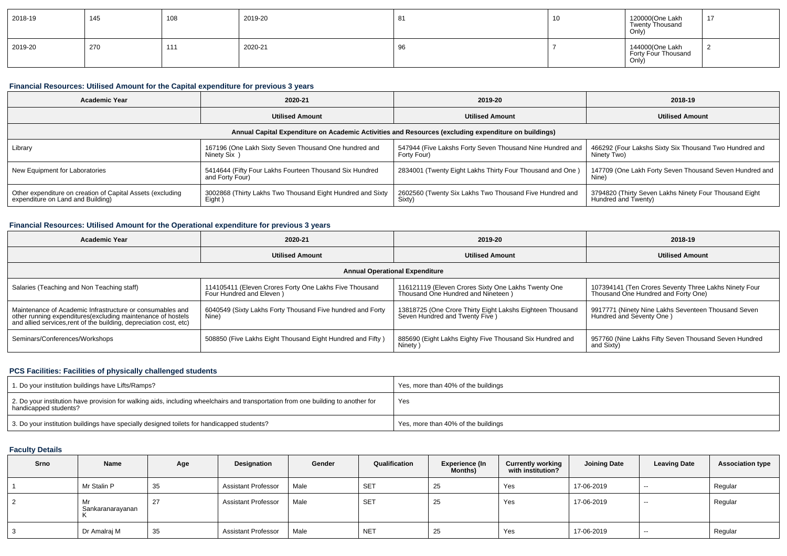| 2018-19 | 145 | 108                 | 2019-20 | ິ<br>ັບເ          | 10<br>1 V | 120000(One Lakh<br><b>Twenty Thousand</b><br>Only) | 17 |
|---------|-----|---------------------|---------|-------------------|-----------|----------------------------------------------------|----|
| 2019-20 | 270 | 111<br>$\mathbf{L}$ | 2020-21 | $\sim$<br>u<br>୰୰ |           | 144000(One Lakh<br>Forty Four Thousand<br>Only     |    |

### **Financial Resources: Utilised Amount for the Capital expenditure for previous 3 years**

| Academic Year                                                                                   | 2020-21                                                                                              | 2019-20                                                                  | 2018-19                                                                       |
|-------------------------------------------------------------------------------------------------|------------------------------------------------------------------------------------------------------|--------------------------------------------------------------------------|-------------------------------------------------------------------------------|
|                                                                                                 | <b>Utilised Amount</b>                                                                               | <b>Utilised Amount</b>                                                   | <b>Utilised Amount</b>                                                        |
|                                                                                                 | Annual Capital Expenditure on Academic Activities and Resources (excluding expenditure on buildings) |                                                                          |                                                                               |
| Library                                                                                         | 167196 (One Lakh Sixty Seven Thousand One hundred and<br>Ninety Six                                  | 547944 (Five Lakshs Forty Seven Thousand Nine Hundred and<br>Forty Four) | 466292 (Four Lakshs Sixty Six Thousand Two Hundred and<br>Ninety Two)         |
| New Equipment for Laboratories                                                                  | 5414644 (Fifty Four Lakhs Fourteen Thousand Six Hundred<br>and Forty Four)                           | 2834001 (Twenty Eight Lakhs Thirty Four Thousand and One)                | 147709 (One Lakh Forty Seven Thousand Seven Hundred and<br>Nine <sup>'</sup>  |
| Other expenditure on creation of Capital Assets (excluding<br>expenditure on Land and Building) | 3002868 (Thirty Lakhs Two Thousand Eight Hundred and Sixty<br>Eight)                                 | 2602560 (Twenty Six Lakhs Two Thousand Five Hundred and<br>Sixty)        | 3794820 (Thirty Seven Lakhs Ninety Four Thousand Eight<br>Hundred and Twenty) |

### **Financial Resources: Utilised Amount for the Operational expenditure for previous 3 years**

| Academic Year                                                                                                                                                                                  | 2020-21                                                                             | 2019-20                                                                                      | 2018-19                                                                                      |  |
|------------------------------------------------------------------------------------------------------------------------------------------------------------------------------------------------|-------------------------------------------------------------------------------------|----------------------------------------------------------------------------------------------|----------------------------------------------------------------------------------------------|--|
|                                                                                                                                                                                                | <b>Utilised Amount</b>                                                              | <b>Utilised Amount</b>                                                                       | <b>Utilised Amount</b>                                                                       |  |
|                                                                                                                                                                                                |                                                                                     | <b>Annual Operational Expenditure</b>                                                        |                                                                                              |  |
| Salaries (Teaching and Non Teaching staff)                                                                                                                                                     | 114105411 (Eleven Crores Forty One Lakhs Five Thousand<br>Four Hundred and Eleven ) | 116121119 (Eleven Crores Sixty One Lakhs Twenty One<br>Thousand One Hundred and Nineteen)    | 107394141 (Ten Crores Seventy Three Lakhs Ninety Four<br>Thousand One Hundred and Forty One) |  |
| Maintenance of Academic Infrastructure or consumables and<br>other running expenditures(excluding maintenance of hostels<br>and allied services, rent of the building, depreciation cost, etc) | 6040549 (Sixty Lakhs Forty Thousand Five hundred and Forty<br>Nine)                 | 13818725 (One Crore Thirty Eight Lakshs Eighteen Thousand<br>Seven Hundred and Twenty Five ) | 9917771 (Ninety Nine Lakhs Seventeen Thousand Seven<br>Hundred and Seventy One)              |  |
| Seminars/Conferences/Workshops                                                                                                                                                                 | 508850 (Five Lakhs Eight Thousand Eight Hundred and Fifty)                          | 885690 (Eight Lakhs Eighty Five Thousand Six Hundred and<br>Ninety )                         | 957760 (Nine Lakhs Fifty Seven Thousand Seven Hundred<br>and Sixty)                          |  |

### **PCS Facilities: Facilities of physically challenged students**

| 1. Do your institution buildings have Lifts/Ramps?                                                                                                         | Yes, more than 40% of the buildings |
|------------------------------------------------------------------------------------------------------------------------------------------------------------|-------------------------------------|
| 2. Do your institution have provision for walking aids, including wheelchairs and transportation from one building to another for<br>handicapped students? | Yes                                 |
| 3. Do your institution buildings have specially designed toilets for handicapped students?                                                                 | Yes, more than 40% of the buildings |

## **Faculty Details**

| Srno | Name                   | Age | Designation                | Gender | Qualification | <b>Experience (In</b><br>Months) | <b>Currently working</b><br>with institution? | <b>Joining Date</b> | <b>Leaving Date</b> | <b>Association type</b> |
|------|------------------------|-----|----------------------------|--------|---------------|----------------------------------|-----------------------------------------------|---------------------|---------------------|-------------------------|
|      | Mr Stalin P            | 35  | <b>Assistant Professor</b> | Male   | <b>SET</b>    | 25                               | Yes                                           | 17-06-2019          | $\sim$              | Regular                 |
|      | Mr<br>Sankaranarayanan | 27  | <b>Assistant Professor</b> | Male   | <b>SET</b>    | 25                               | Yes                                           | 17-06-2019          | $- -$               | Regular                 |
|      | Dr Amalraj M           | 35  | <b>Assistant Professor</b> | Male   | <b>NET</b>    | 25                               | Yes                                           | 17-06-2019          | $- -$               | Regular                 |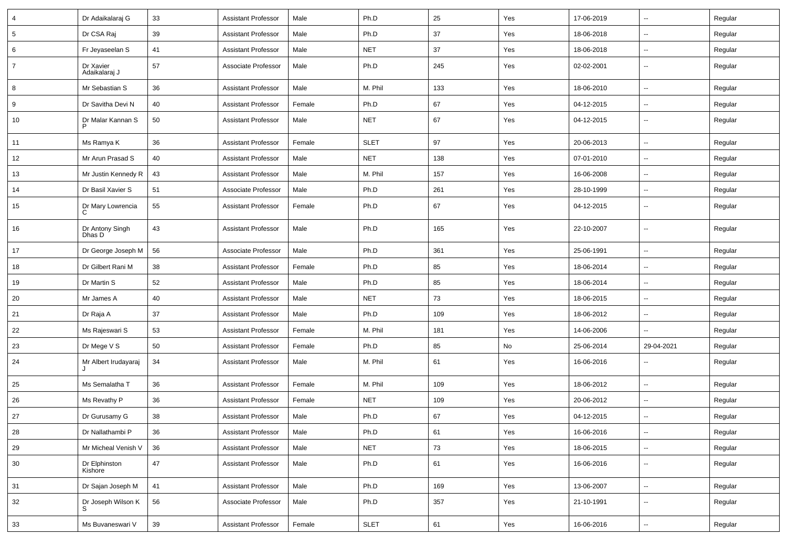| 4               | Dr Adaikalaraj G           | 33 | <b>Assistant Professor</b> | Male   | Ph.D        | 25  | Yes | 17-06-2019 | ⊶.                       | Regular |
|-----------------|----------------------------|----|----------------------------|--------|-------------|-----|-----|------------|--------------------------|---------|
| $5\phantom{.0}$ | Dr CSA Raj                 | 39 | <b>Assistant Professor</b> | Male   | Ph.D        | 37  | Yes | 18-06-2018 | Ξ.                       | Regular |
| 6               | Fr Jeyaseelan S            | 41 | <b>Assistant Professor</b> | Male   | <b>NET</b>  | 37  | Yes | 18-06-2018 | --                       | Regular |
| $\overline{7}$  | Dr Xavier<br>Adaikalaraj J | 57 | Associate Professor        | Male   | Ph.D        | 245 | Yes | 02-02-2001 | --                       | Regular |
| 8               | Mr Sebastian S             | 36 | <b>Assistant Professor</b> | Male   | M. Phil     | 133 | Yes | 18-06-2010 | -−                       | Regular |
| 9               | Dr Savitha Devi N          | 40 | <b>Assistant Professor</b> | Female | Ph.D        | 67  | Yes | 04-12-2015 | Ξ.                       | Regular |
| 10              | Dr Malar Kannan S          | 50 | <b>Assistant Professor</b> | Male   | <b>NET</b>  | 67  | Yes | 04-12-2015 | $\overline{\phantom{a}}$ | Regular |
| 11              | Ms Ramya K                 | 36 | <b>Assistant Professor</b> | Female | <b>SLET</b> | 97  | Yes | 20-06-2013 | $\sim$                   | Regular |
| 12              | Mr Arun Prasad S           | 40 | <b>Assistant Professor</b> | Male   | <b>NET</b>  | 138 | Yes | 07-01-2010 | ⊶.                       | Regular |
| 13              | Mr Justin Kennedy R        | 43 | <b>Assistant Professor</b> | Male   | M. Phil     | 157 | Yes | 16-06-2008 | $\overline{\phantom{a}}$ | Regular |
| 14              | Dr Basil Xavier S          | 51 | Associate Professor        | Male   | Ph.D        | 261 | Yes | 28-10-1999 | --                       | Regular |
| 15              | Dr Mary Lowrencia<br>C     | 55 | <b>Assistant Professor</b> | Female | Ph.D        | 67  | Yes | 04-12-2015 | -−                       | Regular |
| 16              | Dr Antony Singh<br>Dhas D  | 43 | <b>Assistant Professor</b> | Male   | Ph.D        | 165 | Yes | 22-10-2007 | --                       | Regular |
| 17              | Dr George Joseph M         | 56 | Associate Professor        | Male   | Ph.D        | 361 | Yes | 25-06-1991 | -−                       | Regular |
| 18              | Dr Gilbert Rani M          | 38 | <b>Assistant Professor</b> | Female | Ph.D        | 85  | Yes | 18-06-2014 | $\overline{\phantom{a}}$ | Regular |
| 19              | Dr Martin S                | 52 | <b>Assistant Professor</b> | Male   | Ph.D        | 85  | Yes | 18-06-2014 | ⊷.                       | Regular |
| 20              | Mr James A                 | 40 | <b>Assistant Professor</b> | Male   | <b>NET</b>  | 73  | Yes | 18-06-2015 | ⊶.                       | Regular |
| 21              | Dr Raja A                  | 37 | <b>Assistant Professor</b> | Male   | Ph.D        | 109 | Yes | 18-06-2012 | Ξ.                       | Regular |
| 22              | Ms Rajeswari S             | 53 | <b>Assistant Professor</b> | Female | M. Phil     | 181 | Yes | 14-06-2006 | -−                       | Regular |
| 23              | Dr Mege V S                | 50 | <b>Assistant Professor</b> | Female | Ph.D        | 85  | No  | 25-06-2014 | 29-04-2021               | Regular |
| 24              | Mr Albert Irudayaraj<br>J  | 34 | <b>Assistant Professor</b> | Male   | M. Phil     | 61  | Yes | 16-06-2016 | -−                       | Regular |
| 25              | Ms Semalatha T             | 36 | <b>Assistant Professor</b> | Female | M. Phil     | 109 | Yes | 18-06-2012 | Ξ.                       | Regular |
| 26              | Ms Revathy P               | 36 | Assistant Professor        | Female | <b>NET</b>  | 109 | Yes | 20-06-2012 | $\overline{\phantom{a}}$ | Regular |
| 27              | Dr Gurusamy G              | 38 | <b>Assistant Professor</b> | Male   | Ph.D        | 67  | Yes | 04-12-2015 | ⊶.                       | Regular |
| 28              | Dr Nallathambi P           | 36 | <b>Assistant Professor</b> | Male   | Ph.D        | 61  | Yes | 16-06-2016 | $\overline{\phantom{a}}$ | Regular |
| 29              | Mr Micheal Venish V        | 36 | <b>Assistant Professor</b> | Male   | <b>NET</b>  | 73  | Yes | 18-06-2015 | $\overline{\phantom{a}}$ | Regular |
| 30              | Dr Elphinston<br>Kishore   | 47 | <b>Assistant Professor</b> | Male   | Ph.D        | 61  | Yes | 16-06-2016 | --                       | Regular |
| 31              | Dr Sajan Joseph M          | 41 | <b>Assistant Professor</b> | Male   | Ph.D        | 169 | Yes | 13-06-2007 | ш.                       | Regular |
| 32              | Dr Joseph Wilson K<br>S    | 56 | Associate Professor        | Male   | Ph.D        | 357 | Yes | 21-10-1991 | $\overline{\phantom{a}}$ | Regular |
| 33              | Ms Buvaneswari V           | 39 | <b>Assistant Professor</b> | Female | <b>SLET</b> | 61  | Yes | 16-06-2016 | Щ,                       | Regular |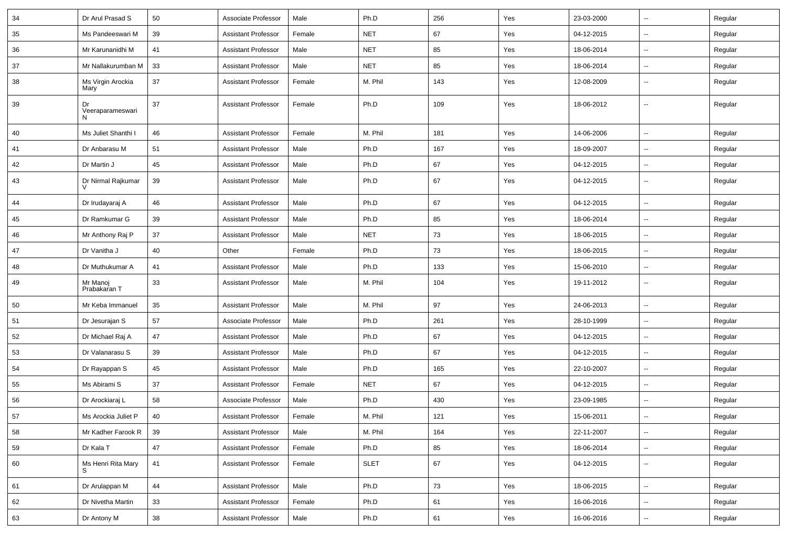| 34 | Dr Arul Prasad S            | 50     | Associate Professor        | Male   | Ph.D        | 256 | Yes | 23-03-2000 | −−                       | Regular |
|----|-----------------------------|--------|----------------------------|--------|-------------|-----|-----|------------|--------------------------|---------|
| 35 | Ms Pandeeswari M            | 39     | <b>Assistant Professor</b> | Female | <b>NET</b>  | 67  | Yes | 04-12-2015 | Ξ.                       | Regular |
| 36 | Mr Karunanidhi M            | 41     | <b>Assistant Professor</b> | Male   | <b>NET</b>  | 85  | Yes | 18-06-2014 | $\overline{\phantom{a}}$ | Regular |
| 37 | Mr Nallakurumban M          | 33     | <b>Assistant Professor</b> | Male   | <b>NET</b>  | 85  | Yes | 18-06-2014 | --                       | Regular |
| 38 | Ms Virgin Arockia<br>Mary   | 37     | <b>Assistant Professor</b> | Female | M. Phil     | 143 | Yes | 12-08-2009 | Ξ.                       | Regular |
| 39 | Dr<br>Veeraparameswari<br>N | 37     | <b>Assistant Professor</b> | Female | Ph.D        | 109 | Yes | 18-06-2012 | Ξ.                       | Regular |
| 40 | Ms Juliet Shanthi I         | 46     | <b>Assistant Professor</b> | Female | M. Phil     | 181 | Yes | 14-06-2006 | -−                       | Regular |
| 41 | Dr Anbarasu M               | 51     | <b>Assistant Professor</b> | Male   | Ph.D        | 167 | Yes | 18-09-2007 | Ξ.                       | Regular |
| 42 | Dr Martin J                 | 45     | <b>Assistant Professor</b> | Male   | Ph.D        | 67  | Yes | 04-12-2015 | $\overline{\phantom{a}}$ | Regular |
| 43 | Dr Nirmal Rajkumar          | 39     | <b>Assistant Professor</b> | Male   | Ph.D        | 67  | Yes | 04-12-2015 | ⊷.                       | Regular |
| 44 | Dr Irudayaraj A             | 46     | <b>Assistant Professor</b> | Male   | Ph.D        | 67  | Yes | 04-12-2015 | $\overline{\phantom{a}}$ | Regular |
| 45 | Dr Ramkumar G               | 39     | <b>Assistant Professor</b> | Male   | Ph.D        | 85  | Yes | 18-06-2014 | $\overline{\phantom{a}}$ | Regular |
| 46 | Mr Anthony Raj P            | 37     | <b>Assistant Professor</b> | Male   | <b>NET</b>  | 73  | Yes | 18-06-2015 | --                       | Regular |
| 47 | Dr Vanitha J                | 40     | Other                      | Female | Ph.D        | 73  | Yes | 18-06-2015 | -−                       | Regular |
| 48 | Dr Muthukumar A             | 41     | <b>Assistant Professor</b> | Male   | Ph.D        | 133 | Yes | 15-06-2010 | Щ,                       | Regular |
| 49 | Mr Manoj<br>Prabakaran T    | 33     | <b>Assistant Professor</b> | Male   | M. Phil     | 104 | Yes | 19-11-2012 | ⊷.                       | Regular |
| 50 | Mr Keba Immanuel            | 35     | <b>Assistant Professor</b> | Male   | M. Phil     | 97  | Yes | 24-06-2013 | Ξ.                       | Regular |
| 51 | Dr Jesurajan S              | 57     | Associate Professor        | Male   | Ph.D        | 261 | Yes | 28-10-1999 | ⊷.                       | Regular |
| 52 | Dr Michael Raj A            | 47     | <b>Assistant Professor</b> | Male   | Ph.D        | 67  | Yes | 04-12-2015 | $\overline{\phantom{a}}$ | Regular |
| 53 | Dr Valanarasu S             | 39     | <b>Assistant Professor</b> | Male   | Ph.D        | 67  | Yes | 04-12-2015 | --                       | Regular |
| 54 | Dr Rayappan S               | 45     | <b>Assistant Professor</b> | Male   | Ph.D        | 165 | Yes | 22-10-2007 | ⊷.                       | Regular |
| 55 | Ms Abirami S                | 37     | <b>Assistant Professor</b> | Female | <b>NET</b>  | 67  | Yes | 04-12-2015 | $\sim$                   | Regular |
| 56 | Dr Arockiaraj L             | 58     | Associate Professor        | Male   | Ph.D        | 430 | Yes | 23-09-1985 | ⊶.                       | Regular |
| 57 | Ms Arockia Juliet P         | 40     | <b>Assistant Professor</b> | Female | M. Phil     | 121 | Yes | 15-06-2011 | $\overline{\phantom{a}}$ | Regular |
| 58 | Mr Kadher Farook R          | 39     | <b>Assistant Professor</b> | Male   | M. Phil     | 164 | Yes | 22-11-2007 | $\overline{\phantom{a}}$ | Regular |
| 59 | Dr Kala T                   | 47     | <b>Assistant Professor</b> | Female | Ph.D        | 85  | Yes | 18-06-2014 | $\overline{\phantom{a}}$ | Regular |
| 60 | Ms Henri Rita Mary<br>S.    | $41$   | <b>Assistant Professor</b> | Female | <b>SLET</b> | 67  | Yes | 04-12-2015 | --                       | Regular |
| 61 | Dr Arulappan M              | 44     | <b>Assistant Professor</b> | Male   | Ph.D        | 73  | Yes | 18-06-2015 | ш.                       | Regular |
| 62 | Dr Nivetha Martin           | 33     | <b>Assistant Professor</b> | Female | Ph.D        | 61  | Yes | 16-06-2016 | Щ,                       | Regular |
| 63 | Dr Antony M                 | $38\,$ | <b>Assistant Professor</b> | Male   | Ph.D        | 61  | Yes | 16-06-2016 | $\overline{\phantom{a}}$ | Regular |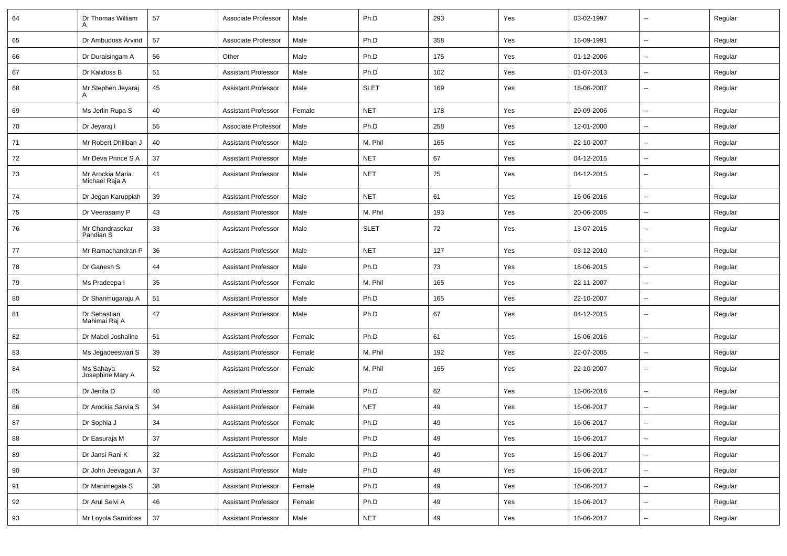| 64 | Dr Thomas William                  | 57 | Associate Professor        | Male   | Ph.D        | 293 | Yes | 03-02-1997 | --                       | Regular |
|----|------------------------------------|----|----------------------------|--------|-------------|-----|-----|------------|--------------------------|---------|
| 65 | Dr Ambudoss Arvind                 | 57 | Associate Professor        | Male   | Ph.D        | 358 | Yes | 16-09-1991 | ⊷.                       | Regular |
| 66 | Dr Duraisingam A                   | 56 | Other                      | Male   | Ph.D        | 175 | Yes | 01-12-2006 | --                       | Regular |
| 67 | Dr Kalidoss B                      | 51 | <b>Assistant Professor</b> | Male   | Ph.D        | 102 | Yes | 01-07-2013 | --                       | Regular |
| 68 | Mr Stephen Jeyaraj                 | 45 | <b>Assistant Professor</b> | Male   | SLET        | 169 | Yes | 18-06-2007 | --                       | Regular |
| 69 | Ms Jerlin Rupa S                   | 40 | <b>Assistant Professor</b> | Female | <b>NET</b>  | 178 | Yes | 29-09-2006 | $\overline{\phantom{a}}$ | Regular |
| 70 | Dr Jeyaraj l                       | 55 | Associate Professor        | Male   | Ph.D        | 258 | Yes | 12-01-2000 | --                       | Regular |
| 71 | Mr Robert Dhiliban J               | 40 | <b>Assistant Professor</b> | Male   | M. Phil     | 165 | Yes | 22-10-2007 | $\overline{\phantom{a}}$ | Regular |
| 72 | Mr Deva Prince S A                 | 37 | <b>Assistant Professor</b> | Male   | <b>NET</b>  | 67  | Yes | 04-12-2015 | $\overline{\phantom{a}}$ | Regular |
| 73 | Mr Arockia Maria<br>Michael Raja A | 41 | <b>Assistant Professor</b> | Male   | <b>NET</b>  | 75  | Yes | 04-12-2015 | --                       | Regular |
| 74 | Dr Jegan Karuppiah                 | 39 | <b>Assistant Professor</b> | Male   | <b>NET</b>  | 61  | Yes | 16-06-2016 | --                       | Regular |
| 75 | Dr Veerasamy P                     | 43 | <b>Assistant Professor</b> | Male   | M. Phil     | 193 | Yes | 20-06-2005 | --                       | Regular |
| 76 | Mr Chandrasekar<br>Pandian S       | 33 | <b>Assistant Professor</b> | Male   | <b>SLET</b> | 72  | Yes | 13-07-2015 | --                       | Regular |
| 77 | Mr Ramachandran P                  | 36 | <b>Assistant Professor</b> | Male   | <b>NET</b>  | 127 | Yes | 03-12-2010 | --                       | Regular |
| 78 | Dr Ganesh S                        | 44 | <b>Assistant Professor</b> | Male   | Ph.D        | 73  | Yes | 18-06-2015 | --                       | Regular |
| 79 | Ms Pradeepa I                      | 35 | <b>Assistant Professor</b> | Female | M. Phil     | 165 | Yes | 22-11-2007 | $\overline{\phantom{a}}$ | Regular |
| 80 | Dr Shanmugaraju A                  | 51 | <b>Assistant Professor</b> | Male   | Ph.D        | 165 | Yes | 22-10-2007 | $\overline{\phantom{a}}$ | Regular |
| 81 | Dr Sebastian<br>Mahimai Raj A      | 47 | <b>Assistant Professor</b> | Male   | Ph.D        | 67  | Yes | 04-12-2015 | --                       | Regular |
| 82 | Dr Mabel Joshaline                 | 51 | <b>Assistant Professor</b> | Female | Ph.D        | 61  | Yes | 16-06-2016 | --                       | Regular |
| 83 | Ms Jegadeeswari S                  | 39 | <b>Assistant Professor</b> | Female | M. Phil     | 192 | Yes | 22-07-2005 | -−                       | Regular |
| 84 | Ms Sahaya<br>Josephine Mary A      | 52 | <b>Assistant Professor</b> | Female | M. Phil     | 165 | Yes | 22-10-2007 | --                       | Regular |
| 85 | Dr Jenifa D                        | 40 | <b>Assistant Professor</b> | Female | Ph.D        | 62  | Yes | 16-06-2016 | --                       | Regular |
| 86 | Dr Arockia Sarvia S                | 34 | <b>Assistant Professor</b> | Female | <b>NET</b>  | 49  | Yes | 16-06-2017 | --                       | Regular |
| 87 | Dr Sophia J                        | 34 | <b>Assistant Professor</b> | Female | Ph.D        | 49  | Yes | 16-06-2017 | $\overline{\phantom{a}}$ | Regular |
| 88 | Dr Easuraja M                      | 37 | <b>Assistant Professor</b> | Male   | Ph.D        | 49  | Yes | 16-06-2017 | $\sim$                   | Regular |
| 89 | Dr Jansi Rani K                    | 32 | <b>Assistant Professor</b> | Female | Ph.D        | 49  | Yes | 16-06-2017 | $\overline{\phantom{a}}$ | Regular |
| 90 | Dr John Jeevagan A                 | 37 | <b>Assistant Professor</b> | Male   | Ph.D        | 49  | Yes | 16-06-2017 | $\overline{\phantom{a}}$ | Regular |
| 91 | Dr Manimegala S                    | 38 | <b>Assistant Professor</b> | Female | Ph.D        | 49  | Yes | 16-06-2017 | $\overline{\phantom{a}}$ | Regular |
| 92 | Dr Arul Selvi A                    | 46 | <b>Assistant Professor</b> | Female | Ph.D        | 49  | Yes | 16-06-2017 | Щ,                       | Regular |
| 93 | Mr Loyola Samidoss                 | 37 | <b>Assistant Professor</b> | Male   | <b>NET</b>  | 49  | Yes | 16-06-2017 | н,                       | Regular |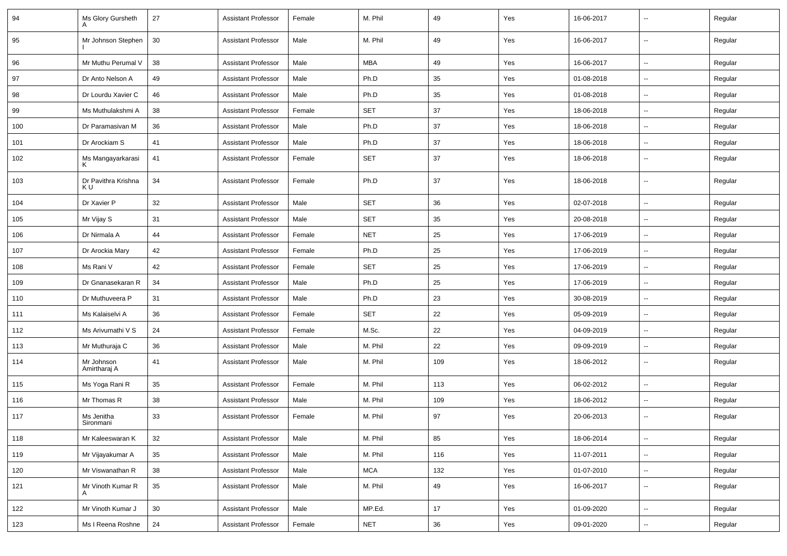| 94  | Ms Glory Gursheth          | 27 | <b>Assistant Professor</b> | Female | M. Phil    | 49  | Yes | 16-06-2017 | --                       | Regular |
|-----|----------------------------|----|----------------------------|--------|------------|-----|-----|------------|--------------------------|---------|
| 95  | Mr Johnson Stephen         | 30 | <b>Assistant Professor</b> | Male   | M. Phil    | 49  | Yes | 16-06-2017 | $\overline{\phantom{a}}$ | Regular |
| 96  | Mr Muthu Perumal V         | 38 | <b>Assistant Professor</b> | Male   | <b>MBA</b> | 49  | Yes | 16-06-2017 | $\overline{\phantom{a}}$ | Regular |
| 97  | Dr Anto Nelson A           | 49 | <b>Assistant Professor</b> | Male   | Ph.D       | 35  | Yes | 01-08-2018 | --                       | Regular |
| 98  | Dr Lourdu Xavier C         | 46 | <b>Assistant Professor</b> | Male   | Ph.D       | 35  | Yes | 01-08-2018 |                          | Regular |
| 99  | Ms Muthulakshmi A          | 38 | <b>Assistant Professor</b> | Female | <b>SET</b> | 37  | Yes | 18-06-2018 | --                       | Regular |
| 100 | Dr Paramasivan M           | 36 | <b>Assistant Professor</b> | Male   | Ph.D       | 37  | Yes | 18-06-2018 | Ξ.                       | Regular |
| 101 | Dr Arockiam S              | 41 | <b>Assistant Professor</b> | Male   | Ph.D       | 37  | Yes | 18-06-2018 | $\sim$                   | Regular |
| 102 | Ms Mangayarkarasi          | 41 | <b>Assistant Professor</b> | Female | SET        | 37  | Yes | 18-06-2018 | $\overline{\phantom{a}}$ | Regular |
| 103 | Dr Pavithra Krishna<br>K U | 34 | <b>Assistant Professor</b> | Female | Ph.D       | 37  | Yes | 18-06-2018 | $\overline{\phantom{a}}$ | Regular |
| 104 | Dr Xavier P                | 32 | <b>Assistant Professor</b> | Male   | <b>SET</b> | 36  | Yes | 02-07-2018 | $\overline{\phantom{a}}$ | Regular |
| 105 | Mr Vijay S                 | 31 | <b>Assistant Professor</b> | Male   | <b>SET</b> | 35  | Yes | 20-08-2018 | --                       | Regular |
| 106 | Dr Nirmala A               | 44 | <b>Assistant Professor</b> | Female | <b>NET</b> | 25  | Yes | 17-06-2019 | $\sim$                   | Regular |
| 107 | Dr Arockia Mary            | 42 | <b>Assistant Professor</b> | Female | Ph.D       | 25  | Yes | 17-06-2019 | $\overline{\phantom{a}}$ | Regular |
| 108 | Ms Rani V                  | 42 | <b>Assistant Professor</b> | Female | <b>SET</b> | 25  | Yes | 17-06-2019 | --                       | Regular |
| 109 | Dr Gnanasekaran R          | 34 | <b>Assistant Professor</b> | Male   | Ph.D       | 25  | Yes | 17-06-2019 | $\overline{\phantom{a}}$ | Regular |
| 110 | Dr Muthuveera P            | 31 | <b>Assistant Professor</b> | Male   | Ph.D       | 23  | Yes | 30-08-2019 | $\sim$                   | Regular |
| 111 | Ms Kalaiselvi A            | 36 | <b>Assistant Professor</b> | Female | SET        | 22  | Yes | 05-09-2019 | $\overline{\phantom{a}}$ | Regular |
| 112 | Ms Arivumathi V S          | 24 | <b>Assistant Professor</b> | Female | M.Sc.      | 22  | Yes | 04-09-2019 |                          | Regular |
| 113 | Mr Muthuraja C             | 36 | <b>Assistant Professor</b> | Male   | M. Phil    | 22  | Yes | 09-09-2019 | $\overline{\phantom{a}}$ | Regular |
| 114 | Mr Johnson<br>Amirtharaj A | 41 | <b>Assistant Professor</b> | Male   | M. Phil    | 109 | Yes | 18-06-2012 | --                       | Regular |
| 115 | Ms Yoga Rani R             | 35 | <b>Assistant Professor</b> | Female | M. Phil    | 113 | Yes | 06-02-2012 | Ξ.                       | Regular |
| 116 | Mr Thomas R                | 38 | <b>Assistant Professor</b> | Male   | M. Phil    | 109 | Yes | 18-06-2012 | $\sim$                   | Regular |
| 117 | Ms Jenitha<br>Sironmani    | 33 | <b>Assistant Professor</b> | Female | M. Phil    | 97  | Yes | 20-06-2013 | Ξ.                       | Regular |
| 118 | Mr Kaleeswaran K           | 32 | <b>Assistant Professor</b> | Male   | M. Phil    | 85  | Yes | 18-06-2014 | $\sim$                   | Regular |
| 119 | Mr Vijayakumar A           | 35 | Assistant Professor        | Male   | M. Phil    | 116 | Yes | 11-07-2011 | $\sim$                   | Regular |
| 120 | Mr Viswanathan R           | 38 | Assistant Professor        | Male   | <b>MCA</b> | 132 | Yes | 01-07-2010 | $\sim$                   | Regular |
| 121 | Mr Vinoth Kumar R<br>A     | 35 | <b>Assistant Professor</b> | Male   | M. Phil    | 49  | Yes | 16-06-2017 | $\overline{\phantom{a}}$ | Regular |
| 122 | Mr Vinoth Kumar J          | 30 | <b>Assistant Professor</b> | Male   | MP.Ed.     | 17  | Yes | 01-09-2020 | $\overline{\phantom{a}}$ | Regular |
| 123 | Ms I Reena Roshne          | 24 | <b>Assistant Professor</b> | Female | <b>NET</b> | 36  | Yes | 09-01-2020 | $\overline{\phantom{a}}$ | Regular |